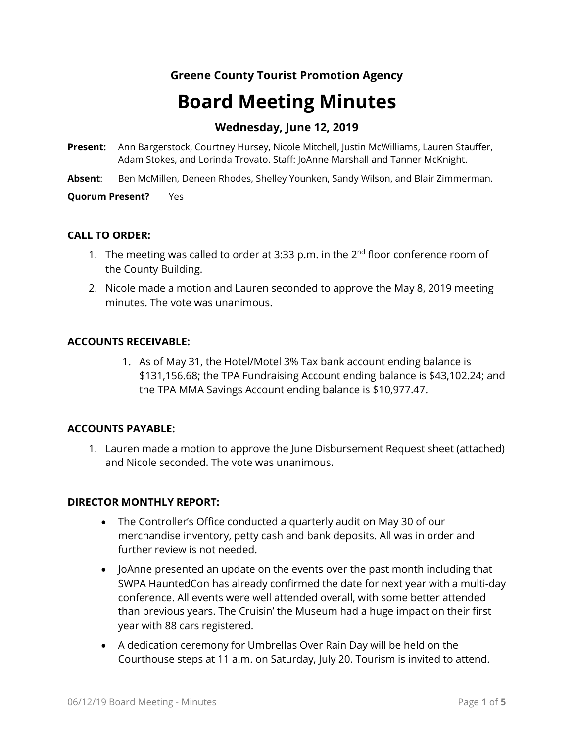# **Greene County Tourist Promotion Agency**

# **Board Meeting Minutes**

# **Wednesday, June 12, 2019**

- **Present:** Ann Bargerstock, Courtney Hursey, Nicole Mitchell, Justin McWilliams, Lauren Stauffer, Adam Stokes, and Lorinda Trovato. Staff: JoAnne Marshall and Tanner McKnight.
- **Absent**: Ben McMillen, Deneen Rhodes, Shelley Younken, Sandy Wilson, and Blair Zimmerman.

**Quorum Present?** Yes

### **CALL TO ORDER:**

- 1. The meeting was called to order at 3:33 p.m. in the  $2^{nd}$  floor conference room of the County Building.
- 2. Nicole made a motion and Lauren seconded to approve the May 8, 2019 meeting minutes. The vote was unanimous.

### **ACCOUNTS RECEIVABLE:**

1. As of May 31, the Hotel/Motel 3% Tax bank account ending balance is \$131,156.68; the TPA Fundraising Account ending balance is \$43,102.24; and the TPA MMA Savings Account ending balance is \$10,977.47.

# **ACCOUNTS PAYABLE:**

1. Lauren made a motion to approve the June Disbursement Request sheet (attached) and Nicole seconded. The vote was unanimous.

#### **DIRECTOR MONTHLY REPORT:**

- The Controller's Office conducted a quarterly audit on May 30 of our merchandise inventory, petty cash and bank deposits. All was in order and further review is not needed.
- JoAnne presented an update on the events over the past month including that SWPA HauntedCon has already confirmed the date for next year with a multi-day conference. All events were well attended overall, with some better attended than previous years. The Cruisin' the Museum had a huge impact on their first year with 88 cars registered.
- A dedication ceremony for Umbrellas Over Rain Day will be held on the Courthouse steps at 11 a.m. on Saturday, July 20. Tourism is invited to attend.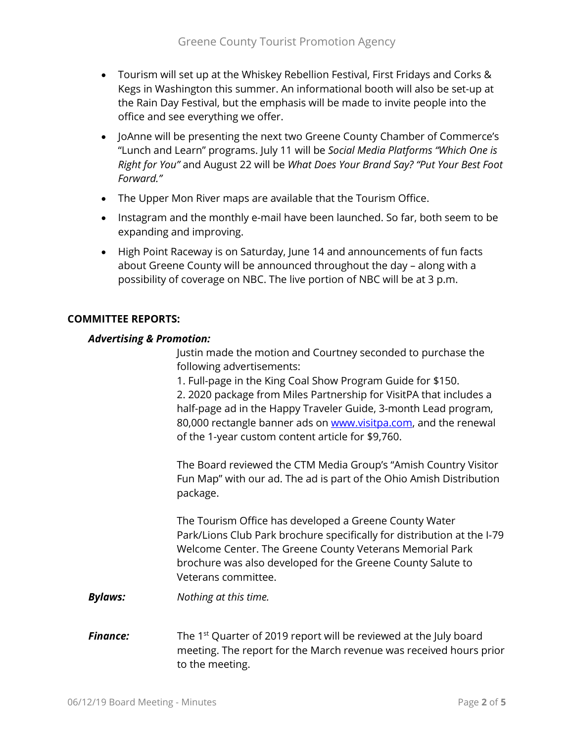- Tourism will set up at the Whiskey Rebellion Festival, First Fridays and Corks & Kegs in Washington this summer. An informational booth will also be set-up at the Rain Day Festival, but the emphasis will be made to invite people into the office and see everything we offer.
- JoAnne will be presenting the next two Greene County Chamber of Commerce's "Lunch and Learn" programs. July 11 will be *Social Media Platforms "Which One is Right for You"* and August 22 will be *What Does Your Brand Say? "Put Your Best Foot Forward."*
- The Upper Mon River maps are available that the Tourism Office.
- Instagram and the monthly e-mail have been launched. So far, both seem to be expanding and improving.
- High Point Raceway is on Saturday, June 14 and announcements of fun facts about Greene County will be announced throughout the day – along with a possibility of coverage on NBC. The live portion of NBC will be at 3 p.m.

# **COMMITTEE REPORTS:**

### *Advertising & Promotion:*

Justin made the motion and Courtney seconded to purchase the following advertisements:

1. Full-page in the King Coal Show Program Guide for \$150.

2. 2020 package from Miles Partnership for VisitPA that includes a half-page ad in the Happy Traveler Guide, 3-month Lead program, 80,000 rectangle banner ads on [www.visitpa.com,](http://www.visitpa.com/) and the renewal of the 1-year custom content article for \$9,760.

The Board reviewed the CTM Media Group's "Amish Country Visitor Fun Map" with our ad. The ad is part of the Ohio Amish Distribution package.

The Tourism Office has developed a Greene County Water Park/Lions Club Park brochure specifically for distribution at the I-79 Welcome Center. The Greene County Veterans Memorial Park brochure was also developed for the Greene County Salute to Veterans committee.

*Bylaws: Nothing at this time.*

**Finance:** The 1<sup>st</sup> Quarter of 2019 report will be reviewed at the July board meeting. The report for the March revenue was received hours prior to the meeting.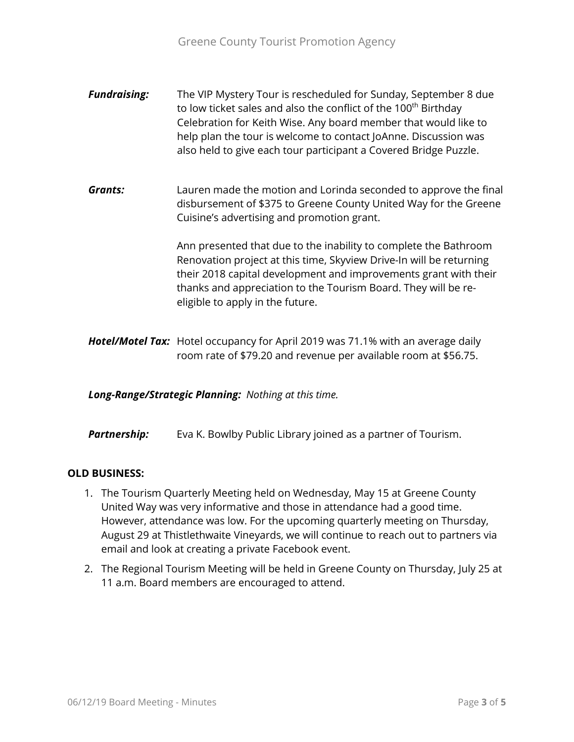- *Fundraising:* The VIP Mystery Tour is rescheduled for Sunday, September 8 due to low ticket sales and also the conflict of the 100<sup>th</sup> Birthday Celebration for Keith Wise. Any board member that would like to help plan the tour is welcome to contact JoAnne. Discussion was also held to give each tour participant a Covered Bridge Puzzle.
- *Grants:* Lauren made the motion and Lorinda seconded to approve the final disbursement of \$375 to Greene County United Way for the Greene Cuisine's advertising and promotion grant.

Ann presented that due to the inability to complete the Bathroom Renovation project at this time, Skyview Drive-In will be returning their 2018 capital development and improvements grant with their thanks and appreciation to the Tourism Board. They will be reeligible to apply in the future.

*Hotel/Motel Tax:* Hotel occupancy for April 2019 was 71.1% with an average daily room rate of \$79.20 and revenue per available room at \$56.75.

*Long-Range/Strategic Planning: Nothing at this time.*

**Partnership:** Eva K. Bowlby Public Library joined as a partner of Tourism.

# **OLD BUSINESS:**

- 1. The Tourism Quarterly Meeting held on Wednesday, May 15 at Greene County United Way was very informative and those in attendance had a good time. However, attendance was low. For the upcoming quarterly meeting on Thursday, August 29 at Thistlethwaite Vineyards, we will continue to reach out to partners via email and look at creating a private Facebook event.
- 2. The Regional Tourism Meeting will be held in Greene County on Thursday, July 25 at 11 a.m. Board members are encouraged to attend.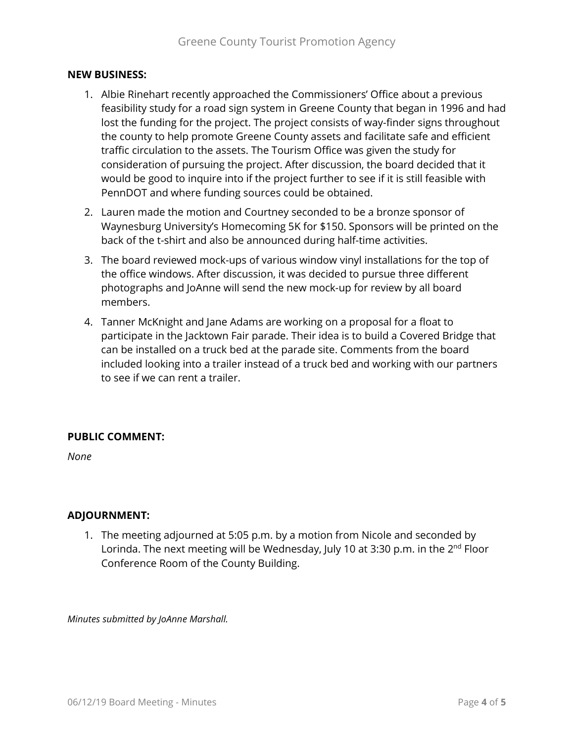#### **NEW BUSINESS:**

- 1. Albie Rinehart recently approached the Commissioners' Office about a previous feasibility study for a road sign system in Greene County that began in 1996 and had lost the funding for the project. The project consists of way-finder signs throughout the county to help promote Greene County assets and facilitate safe and efficient traffic circulation to the assets. The Tourism Office was given the study for consideration of pursuing the project. After discussion, the board decided that it would be good to inquire into if the project further to see if it is still feasible with PennDOT and where funding sources could be obtained.
- 2. Lauren made the motion and Courtney seconded to be a bronze sponsor of Waynesburg University's Homecoming 5K for \$150. Sponsors will be printed on the back of the t-shirt and also be announced during half-time activities.
- 3. The board reviewed mock-ups of various window vinyl installations for the top of the office windows. After discussion, it was decided to pursue three different photographs and JoAnne will send the new mock-up for review by all board members.
- 4. Tanner McKnight and Jane Adams are working on a proposal for a float to participate in the Jacktown Fair parade. Their idea is to build a Covered Bridge that can be installed on a truck bed at the parade site. Comments from the board included looking into a trailer instead of a truck bed and working with our partners to see if we can rent a trailer.

#### **PUBLIC COMMENT:**

*None*

#### **ADJOURNMENT:**

1. The meeting adjourned at 5:05 p.m. by a motion from Nicole and seconded by Lorinda. The next meeting will be Wednesday, July 10 at 3:30 p.m. in the 2<sup>nd</sup> Floor Conference Room of the County Building.

*Minutes submitted by JoAnne Marshall.*